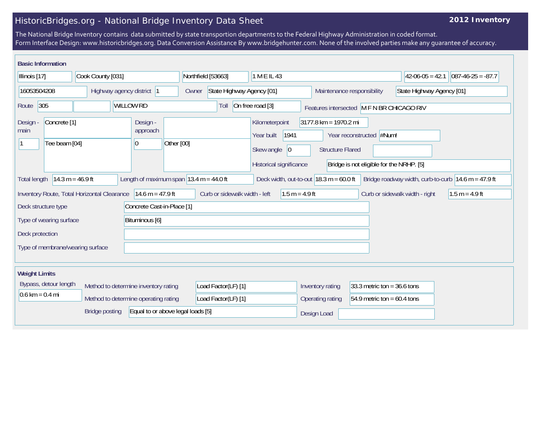## HistoricBridges.org - National Bridge Inventory Data Sheet

## **2012 Inventory**

The National Bridge Inventory contains data submitted by state transportion departments to the Federal Highway Administration in coded format. Form Interface Design: www.historicbridges.org. Data Conversion Assistance By www.bridgehunter.com. None of the involved parties make any guarantee of accuracy.

| <b>Basic Information</b>                                                                                                                                                                                                                         |  |  |                    |                                        |            |                                    |                     |                            |                                                                       |            |                                |                         |                               |                                           |  |  |
|--------------------------------------------------------------------------------------------------------------------------------------------------------------------------------------------------------------------------------------------------|--|--|--------------------|----------------------------------------|------------|------------------------------------|---------------------|----------------------------|-----------------------------------------------------------------------|------------|--------------------------------|-------------------------|-------------------------------|-------------------------------------------|--|--|
| Cook County [031]<br>Illinois [17]                                                                                                                                                                                                               |  |  | Northfield [53663] |                                        |            | 1 M E IL 43                        |                     |                            | $42-06-05 = 42.1$                                                     |            | $ 087-46-25 = -87.7$           |                         |                               |                                           |  |  |
| 16053504208                                                                                                                                                                                                                                      |  |  |                    | Highway agency district 1              |            | State Highway Agency [01]<br>Owner |                     | Maintenance responsibility |                                                                       |            | State Highway Agency [01]      |                         |                               |                                           |  |  |
| 305<br>Route                                                                                                                                                                                                                                     |  |  | <b>WILLOW RD</b>   |                                        |            |                                    | Toll                |                            | On free road [3]                                                      |            |                                |                         |                               | Features intersected M F N BR CHICAGO RIV |  |  |
| Concrete <sup>[1]</sup><br>Design -<br>main<br>Tee beam [04]                                                                                                                                                                                     |  |  |                    | Design -<br>approach<br>$\overline{0}$ | Other [00] |                                    |                     |                            | Kilometerpoint<br>Year built<br>Skew angle<br>Historical significance | 1941<br> 0 | $3177.8$ km = 1970.2 mi        | <b>Structure Flared</b> | Year reconstructed #Num!      | Bridge is not eligible for the NRHP. [5]  |  |  |
| Length of maximum span $ 13.4 \text{ m} = 44.0 \text{ ft} $<br>Deck width, out-to-out $18.3 \text{ m} = 60.0 \text{ ft}$<br>$14.3 m = 46.9 ft$<br>Bridge roadway width, curb-to-curb $ 14.6 \text{ m} = 47.9 \text{ ft} $<br><b>Total length</b> |  |  |                    |                                        |            |                                    |                     |                            |                                                                       |            |                                |                         |                               |                                           |  |  |
| 14.6 m = 47.9 ft<br>Inventory Route, Total Horizontal Clearance                                                                                                                                                                                  |  |  |                    | Curb or sidewalk width - left          |            |                                    | $1.5 m = 4.9 ft$    |                            |                                                                       |            | Curb or sidewalk width - right |                         | $1.5 m = 4.9 ft$              |                                           |  |  |
| Deck structure type<br>Concrete Cast-in-Place [1]                                                                                                                                                                                                |  |  |                    |                                        |            |                                    |                     |                            |                                                                       |            |                                |                         |                               |                                           |  |  |
| Type of wearing surface                                                                                                                                                                                                                          |  |  | Bituminous [6]     |                                        |            |                                    |                     |                            |                                                                       |            |                                |                         |                               |                                           |  |  |
| Deck protection                                                                                                                                                                                                                                  |  |  |                    |                                        |            |                                    |                     |                            |                                                                       |            |                                |                         |                               |                                           |  |  |
| Type of membrane/wearing surface                                                                                                                                                                                                                 |  |  |                    |                                        |            |                                    |                     |                            |                                                                       |            |                                |                         |                               |                                           |  |  |
| <b>Weight Limits</b>                                                                                                                                                                                                                             |  |  |                    |                                        |            |                                    |                     |                            |                                                                       |            |                                |                         |                               |                                           |  |  |
| Bypass, detour length                                                                                                                                                                                                                            |  |  |                    | Method to determine inventory rating   |            |                                    | Load Factor(LF) [1] |                            |                                                                       |            | Inventory rating               |                         | 33.3 metric ton = $36.6$ tons |                                           |  |  |
| $0.6 \text{ km} = 0.4 \text{ mi}$                                                                                                                                                                                                                |  |  |                    | Method to determine operating rating   |            |                                    | Load Factor(LF) [1] |                            |                                                                       |            | Operating rating               |                         | 54.9 metric ton = $60.4$ tons |                                           |  |  |
| Equal to or above legal loads [5]<br><b>Bridge posting</b>                                                                                                                                                                                       |  |  |                    |                                        |            |                                    |                     | Design Load                |                                                                       |            |                                |                         |                               |                                           |  |  |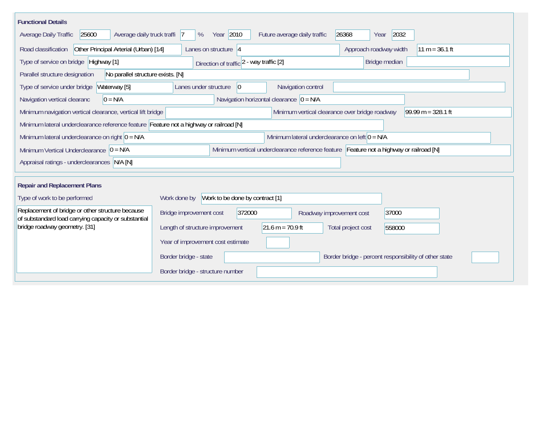| <b>Functional Details</b>                                                                                |                                                                                         |
|----------------------------------------------------------------------------------------------------------|-----------------------------------------------------------------------------------------|
| Average daily truck traffi 7<br>25600<br>Average Daily Traffic                                           | Year 2010<br>26368<br>2032<br>Future average daily traffic<br>%<br>Year                 |
| Other Principal Arterial (Urban) [14]<br>Road classification                                             | Approach roadway width<br>$11 m = 36.1 ft$<br>Lanes on structure $ 4 $                  |
| Type of service on bridge Highway [1]                                                                    | Bridge median<br>Direction of traffic 2 - way traffic [2]                               |
| No parallel structure exists. [N]<br>Parallel structure designation                                      |                                                                                         |
| Waterway [5]<br>Type of service under bridge                                                             | Navigation control<br>Lanes under structure<br>$\overline{0}$                           |
| $0 = N/A$<br>Navigation vertical clearanc                                                                | Navigation horizontal clearance $ 0 = N/A $                                             |
| Minimum navigation vertical clearance, vertical lift bridge                                              | Minimum vertical clearance over bridge roadway<br>$99.99 m = 328.1 ft$                  |
| Minimum lateral underclearance reference feature Feature not a highway or railroad [N]                   |                                                                                         |
| Minimum lateral underclearance on right $0 = N/A$                                                        | Minimum lateral underclearance on left $0 = N/A$                                        |
| Minimum Vertical Underclearance $ 0 = N/A$                                                               | Minimum vertical underclearance reference feature Feature not a highway or railroad [N] |
| Appraisal ratings - underclearances N/A [N]                                                              |                                                                                         |
|                                                                                                          |                                                                                         |
| <b>Repair and Replacement Plans</b>                                                                      |                                                                                         |
| Type of work to be performed                                                                             | Work to be done by contract [1]<br>Work done by                                         |
| Replacement of bridge or other structure because<br>of substandard load carrying capacity or substantial | 372000<br>37000<br>Bridge improvement cost<br>Roadway improvement cost                  |
| bridge roadway geometry. [31]                                                                            | $21.6 m = 70.9 ft$<br>Length of structure improvement<br>Total project cost<br>558000   |
|                                                                                                          | Year of improvement cost estimate                                                       |
|                                                                                                          | Border bridge - state<br>Border bridge - percent responsibility of other state          |
|                                                                                                          | Border bridge - structure number                                                        |